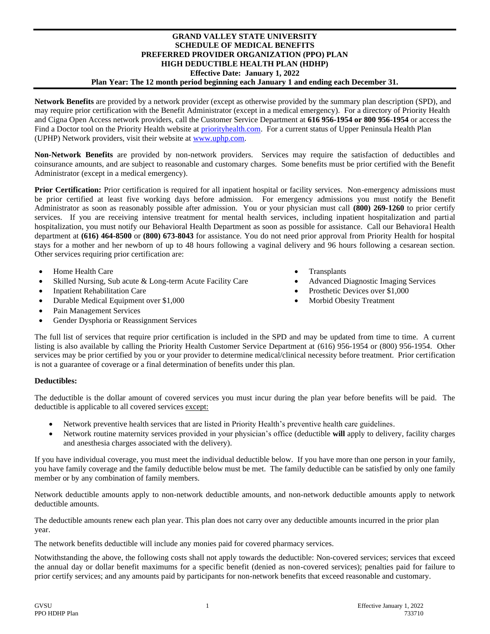## **GRAND VALLEY STATE UNIVERSITY SCHEDULE OF MEDICAL BENEFITS PREFERRED PROVIDER ORGANIZATION (PPO) PLAN HIGH DEDUCTIBLE HEALTH PLAN (HDHP) Effective Date: January 1, 2022 Plan Year: The 12 month period beginning each January 1 and ending each December 31.**

**Network Benefits** are provided by a network provider (except as otherwise provided by the summary plan description (SPD), and may require prior certification with the Benefit Administrator (except in a medical emergency). For a directory of Priority Health and Cigna Open Access network providers, call the Customer Service Department at **616 956-1954 or 800 956-1954** or access the Find a Doctor tool on the Priority Health website at [priorityhealth.com.](file://///phsdata/global/Legal/ASO%20Plan%20Document%20templates/SCHEDULE%20OF%20BENEFITS%20MASTERS/2017/priorityhealth.com) For a current status of Upper Peninsula Health Plan (UPHP) Network providers, visit their website at [www.uphp.com.](http://www.uphp.com/) 

**Non-Network Benefits** are provided by non-network providers. Services may require the satisfaction of deductibles and coinsurance amounts, and are subject to reasonable and customary charges. Some benefits must be prior certified with the Benefit Administrator (except in a medical emergency).

**Prior Certification:** Prior certification is required for all inpatient hospital or facility services. Non-emergency admissions must be prior certified at least five working days before admission. For emergency admissions you must notify the Benefit Administrator as soon as reasonably possible after admission. You or your physician must call **(800) 269-1260** to prior certify services. If you are receiving intensive treatment for mental health services, including inpatient hospitalization and partial hospitalization, you must notify our Behavioral Health Department as soon as possible for assistance. Call our Behavioral Health department at **(616) 464-8500** or **(800) 673-8043** for assistance. You do not need prior approval from Priority Health for hospital stays for a mother and her newborn of up to 48 hours following a vaginal delivery and 96 hours following a cesarean section. Other services requiring prior certification are:

- Home Health Care Transplants
- Skilled Nursing, Sub acute & Long-term Acute Facility Care Advanced Diagnostic Imaging Services
- 
- Durable Medical Equipment over \$1,000 Morbid Obesity Treatment
- Pain Management Services
- Gender Dysphoria or Reassignment Services
- 
- 
- Inpatient Rehabilitation Care Prosthetic Devices over \$1,000
	-

The full list of services that require prior certification is included in the SPD and may be updated from time to time. A current listing is also available by calling the Priority Health Customer Service Department at (616) 956-1954 or (800) 956-1954. Other services may be prior certified by you or your provider to determine medical/clinical necessity before treatment. Prior certification is not a guarantee of coverage or a final determination of benefits under this plan.

## **Deductibles:**

The deductible is the dollar amount of covered services you must incur during the plan year before benefits will be paid. The deductible is applicable to all covered services except:

- Network preventive health services that are listed in Priority Health's preventive health care guidelines.
- Network routine maternity services provided in your physician's office (deductible **will** apply to delivery, facility charges and anesthesia charges associated with the delivery).

If you have individual coverage, you must meet the individual deductible below. If you have more than one person in your family, you have family coverage and the family deductible below must be met. The family deductible can be satisfied by only one family member or by any combination of family members.

Network deductible amounts apply to non-network deductible amounts, and non-network deductible amounts apply to network deductible amounts.

The deductible amounts renew each plan year. This plan does not carry over any deductible amounts incurred in the prior plan year.

The network benefits deductible will include any monies paid for covered pharmacy services.

Notwithstanding the above, the following costs shall not apply towards the deductible: Non-covered services; services that exceed the annual day or dollar benefit maximums for a specific benefit (denied as non-covered services); penalties paid for failure to prior certify services; and any amounts paid by participants for non-network benefits that exceed reasonable and customary.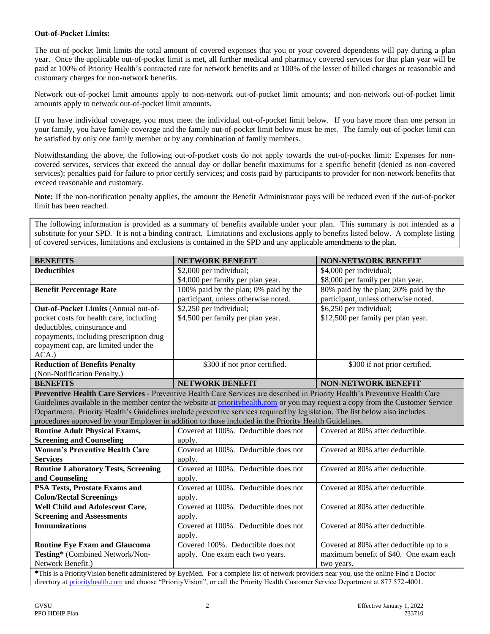## **Out-of-Pocket Limits:**

The out-of-pocket limit limits the total amount of covered expenses that you or your covered dependents will pay during a plan year. Once the applicable out-of-pocket limit is met, all further medical and pharmacy covered services for that plan year will be paid at 100% of Priority Health's contracted rate for network benefits and at 100% of the lesser of billed charges or reasonable and customary charges for non-network benefits.

Network out-of-pocket limit amounts apply to non-network out-of-pocket limit amounts; and non-network out-of-pocket limit amounts apply to network out-of-pocket limit amounts.

If you have individual coverage, you must meet the individual out-of-pocket limit below. If you have more than one person in your family, you have family coverage and the family out-of-pocket limit below must be met. The family out-of-pocket limit can be satisfied by only one family member or by any combination of family members.

Notwithstanding the above, the following out-of-pocket costs do not apply towards the out-of-pocket limit: Expenses for noncovered services, services that exceed the annual day or dollar benefit maximums for a specific benefit (denied as non-covered services); penalties paid for failure to prior certify services; and costs paid by participants to provider for non-network benefits that exceed reasonable and customary.

**Note:** If the non-notification penalty applies, the amount the Benefit Administrator pays will be reduced even if the out-of-pocket limit has been reached.

The following information is provided as a summary of benefits available under your plan. This summary is not intended as a substitute for your SPD. It is not a binding contract. Limitations and exclusions apply to benefits listed below. A complete listing of covered services, limitations and exclusions is contained in the SPD and any applicable amendments to the plan.

| 80% paid by the plan; 20% paid by the                                                                                           |
|---------------------------------------------------------------------------------------------------------------------------------|
|                                                                                                                                 |
|                                                                                                                                 |
|                                                                                                                                 |
|                                                                                                                                 |
|                                                                                                                                 |
|                                                                                                                                 |
|                                                                                                                                 |
|                                                                                                                                 |
|                                                                                                                                 |
|                                                                                                                                 |
|                                                                                                                                 |
| Guidelines available in the member center the website at priorityhealth.com or you may request a copy from the Customer Service |
|                                                                                                                                 |
|                                                                                                                                 |
|                                                                                                                                 |
|                                                                                                                                 |
|                                                                                                                                 |
|                                                                                                                                 |
|                                                                                                                                 |
|                                                                                                                                 |
|                                                                                                                                 |
|                                                                                                                                 |
|                                                                                                                                 |
|                                                                                                                                 |
|                                                                                                                                 |
|                                                                                                                                 |
| Covered at 80% after deductible up to a                                                                                         |
| maximum benefit of \$40. One exam each                                                                                          |
|                                                                                                                                 |
|                                                                                                                                 |

**\***This is a PriorityVision benefit administered by EyeMed. For a complete list of network providers near you, use the online Find a Doctor directory at [priorityhealth.com](file://///gilligan/goldenrod/ASO/Groups/GVSU/Schedule%20of%20Benefits/priorityhealth.com) and choose "PriorityVision", or call the Priority Health Customer Service Department at 877 572-4001.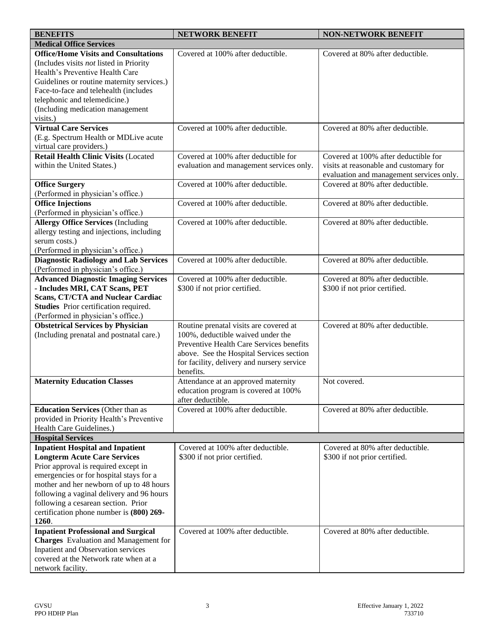| <b>BENEFITS</b>                                                                        | <b>NETWORK BENEFIT</b>                     | <b>NON-NETWORK BENEFIT</b>               |
|----------------------------------------------------------------------------------------|--------------------------------------------|------------------------------------------|
| <b>Medical Office Services</b>                                                         |                                            |                                          |
| <b>Office/Home Visits and Consultations</b>                                            | Covered at 100% after deductible.          | Covered at 80% after deductible.         |
| (Includes visits <i>not</i> listed in Priority                                         |                                            |                                          |
| Health's Preventive Health Care                                                        |                                            |                                          |
| Guidelines or routine maternity services.)                                             |                                            |                                          |
| Face-to-face and telehealth (includes                                                  |                                            |                                          |
| telephonic and telemedicine.)                                                          |                                            |                                          |
| (Including medication management                                                       |                                            |                                          |
| visits.)                                                                               |                                            |                                          |
| <b>Virtual Care Services</b>                                                           | Covered at 100% after deductible.          | Covered at 80% after deductible.         |
| (E.g. Spectrum Health or MDLive acute                                                  |                                            |                                          |
| virtual care providers.)                                                               |                                            |                                          |
| <b>Retail Health Clinic Visits (Located</b>                                            | Covered at 100% after deductible for       | Covered at 100% after deductible for     |
| within the United States.)                                                             | evaluation and management services only.   | visits at reasonable and customary for   |
|                                                                                        |                                            | evaluation and management services only. |
| <b>Office Surgery</b>                                                                  | Covered at 100% after deductible.          | Covered at 80% after deductible.         |
| (Performed in physician's office.)                                                     |                                            |                                          |
| <b>Office Injections</b>                                                               | Covered at 100% after deductible.          | Covered at 80% after deductible.         |
| (Performed in physician's office.)                                                     | Covered at 100% after deductible.          | Covered at 80% after deductible.         |
| <b>Allergy Office Services (Including</b><br>allergy testing and injections, including |                                            |                                          |
| serum costs.)                                                                          |                                            |                                          |
| (Performed in physician's office.)                                                     |                                            |                                          |
| <b>Diagnostic Radiology and Lab Services</b>                                           | Covered at 100% after deductible.          | Covered at 80% after deductible.         |
| (Performed in physician's office.)                                                     |                                            |                                          |
| <b>Advanced Diagnostic Imaging Services</b>                                            | Covered at 100% after deductible.          | Covered at 80% after deductible.         |
| - Includes MRI, CAT Scans, PET                                                         | \$300 if not prior certified.              | \$300 if not prior certified.            |
| <b>Scans, CT/CTA and Nuclear Cardiac</b>                                               |                                            |                                          |
| Studies Prior certification required.                                                  |                                            |                                          |
| (Performed in physician's office.)                                                     |                                            |                                          |
| <b>Obstetrical Services by Physician</b>                                               | Routine prenatal visits are covered at     | Covered at 80% after deductible.         |
| (Including prenatal and postnatal care.)                                               | 100%, deductible waived under the          |                                          |
|                                                                                        | Preventive Health Care Services benefits   |                                          |
|                                                                                        | above. See the Hospital Services section   |                                          |
|                                                                                        | for facility, delivery and nursery service |                                          |
|                                                                                        | benefits.                                  |                                          |
| <b>Maternity Education Classes</b>                                                     | Attendance at an approved maternity        | Not covered.                             |
|                                                                                        | education program is covered at 100%       |                                          |
|                                                                                        | after deductible.                          |                                          |
| <b>Education Services (Other than as</b>                                               | Covered at 100% after deductible.          | Covered at 80% after deductible.         |
| provided in Priority Health's Preventive                                               |                                            |                                          |
| Health Care Guidelines.)                                                               |                                            |                                          |
| <b>Hospital Services</b>                                                               |                                            |                                          |
| <b>Inpatient Hospital and Inpatient</b>                                                | Covered at 100% after deductible.          | Covered at 80% after deductible.         |
| <b>Longterm Acute Care Services</b>                                                    | \$300 if not prior certified.              | \$300 if not prior certified.            |
| Prior approval is required except in                                                   |                                            |                                          |
| emergencies or for hospital stays for a                                                |                                            |                                          |
| mother and her newborn of up to 48 hours<br>following a vaginal delivery and 96 hours  |                                            |                                          |
| following a cesarean section. Prior                                                    |                                            |                                          |
| certification phone number is (800) 269-                                               |                                            |                                          |
| 1260.                                                                                  |                                            |                                          |
| <b>Inpatient Professional and Surgical</b>                                             | Covered at 100% after deductible.          | Covered at 80% after deductible.         |
| <b>Charges</b> Evaluation and Management for                                           |                                            |                                          |
| Inpatient and Observation services                                                     |                                            |                                          |
| covered at the Network rate when at a                                                  |                                            |                                          |
| network facility.                                                                      |                                            |                                          |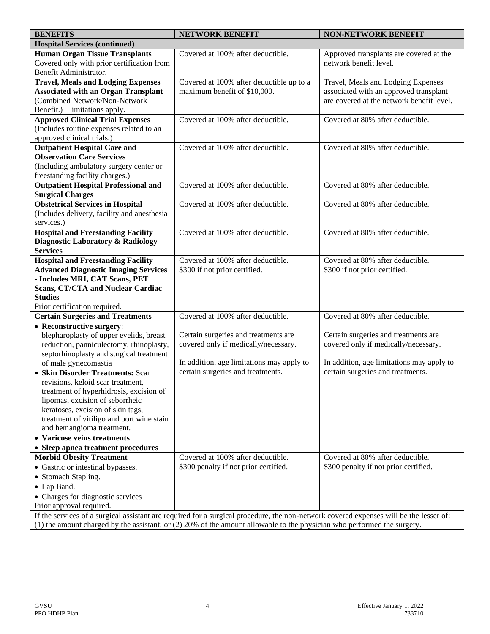| <b>BENEFITS</b>                                                 | <b>NETWORK BENEFIT</b>                                                                                                                 | <b>NON-NETWORK BENEFIT</b>                |
|-----------------------------------------------------------------|----------------------------------------------------------------------------------------------------------------------------------------|-------------------------------------------|
| <b>Hospital Services (continued)</b>                            |                                                                                                                                        |                                           |
| <b>Human Organ Tissue Transplants</b>                           | Covered at 100% after deductible.                                                                                                      | Approved transplants are covered at the   |
| Covered only with prior certification from                      |                                                                                                                                        | network benefit level.                    |
| Benefit Administrator.                                          |                                                                                                                                        |                                           |
| <b>Travel, Meals and Lodging Expenses</b>                       | Covered at 100% after deductible up to a                                                                                               | Travel, Meals and Lodging Expenses        |
| <b>Associated with an Organ Transplant</b>                      | maximum benefit of \$10,000.                                                                                                           | associated with an approved transplant    |
| (Combined Network/Non-Network                                   |                                                                                                                                        | are covered at the network benefit level. |
| Benefit.) Limitations apply.                                    |                                                                                                                                        |                                           |
| <b>Approved Clinical Trial Expenses</b>                         | Covered at 100% after deductible.                                                                                                      | Covered at 80% after deductible.          |
| (Includes routine expenses related to an                        |                                                                                                                                        |                                           |
| approved clinical trials.)                                      |                                                                                                                                        |                                           |
| <b>Outpatient Hospital Care and</b>                             | Covered at 100% after deductible.                                                                                                      | Covered at 80% after deductible.          |
| <b>Observation Care Services</b>                                |                                                                                                                                        |                                           |
| (Including ambulatory surgery center or                         |                                                                                                                                        |                                           |
| freestanding facility charges.)                                 |                                                                                                                                        |                                           |
| <b>Outpatient Hospital Professional and</b>                     | Covered at 100% after deductible.                                                                                                      | Covered at 80% after deductible.          |
| <b>Surgical Charges</b>                                         |                                                                                                                                        |                                           |
| <b>Obstetrical Services in Hospital</b>                         | Covered at 100% after deductible.                                                                                                      | Covered at 80% after deductible.          |
| (Includes delivery, facility and anesthesia                     |                                                                                                                                        |                                           |
| services.)                                                      |                                                                                                                                        |                                           |
| <b>Hospital and Freestanding Facility</b>                       | Covered at 100% after deductible.                                                                                                      | Covered at 80% after deductible.          |
| Diagnostic Laboratory & Radiology                               |                                                                                                                                        |                                           |
| <b>Services</b>                                                 |                                                                                                                                        |                                           |
| <b>Hospital and Freestanding Facility</b>                       | Covered at 100% after deductible.                                                                                                      | Covered at 80% after deductible.          |
| <b>Advanced Diagnostic Imaging Services</b>                     | \$300 if not prior certified.                                                                                                          | \$300 if not prior certified.             |
| - Includes MRI, CAT Scans, PET                                  |                                                                                                                                        |                                           |
| <b>Scans, CT/CTA and Nuclear Cardiac</b>                        |                                                                                                                                        |                                           |
| <b>Studies</b>                                                  |                                                                                                                                        |                                           |
| Prior certification required.                                   |                                                                                                                                        |                                           |
| <b>Certain Surgeries and Treatments</b>                         | Covered at 100% after deductible.                                                                                                      | Covered at 80% after deductible.          |
| • Reconstructive surgery:                                       |                                                                                                                                        |                                           |
| blepharoplasty of upper eyelids, breast                         | Certain surgeries and treatments are                                                                                                   | Certain surgeries and treatments are      |
| reduction, panniculectomy, rhinoplasty,                         | covered only if medically/necessary.                                                                                                   | covered only if medically/necessary.      |
| septorhinoplasty and surgical treatment<br>of male gynecomastia | In addition, age limitations may apply to                                                                                              | In addition, age limitations may apply to |
| • Skin Disorder Treatments: Scar                                | certain surgeries and treatments.                                                                                                      | certain surgeries and treatments.         |
| revisions, keloid scar treatment,                               |                                                                                                                                        |                                           |
| treatment of hyperhidrosis, excision of                         |                                                                                                                                        |                                           |
| lipomas, excision of seborrheic                                 |                                                                                                                                        |                                           |
| keratoses, excision of skin tags,                               |                                                                                                                                        |                                           |
| treatment of vitiligo and port wine stain                       |                                                                                                                                        |                                           |
| and hemangioma treatment.                                       |                                                                                                                                        |                                           |
| • Varicose veins treatments                                     |                                                                                                                                        |                                           |
| • Sleep apnea treatment procedures                              |                                                                                                                                        |                                           |
| <b>Morbid Obesity Treatment</b>                                 | Covered at 100% after deductible.                                                                                                      | Covered at 80% after deductible.          |
| • Gastric or intestinal bypasses.                               | \$300 penalty if not prior certified.                                                                                                  | \$300 penalty if not prior certified.     |
| • Stomach Stapling.                                             |                                                                                                                                        |                                           |
| • Lap Band.                                                     |                                                                                                                                        |                                           |
|                                                                 |                                                                                                                                        |                                           |
| • Charges for diagnostic services<br>Prior approval required.   |                                                                                                                                        |                                           |
|                                                                 | If the services of a surgical assistant are required for a surgical procedure, the non-network covered expenses will be the lesser of: |                                           |
|                                                                 | (1) the amount charged by the assistant: or (2) 20% of the amount allowable to the physician who performed the surgery.                |                                           |

(1) the amount charged by the assistant; or (2) 20% of the amount allowable to the physician who performed the surgery.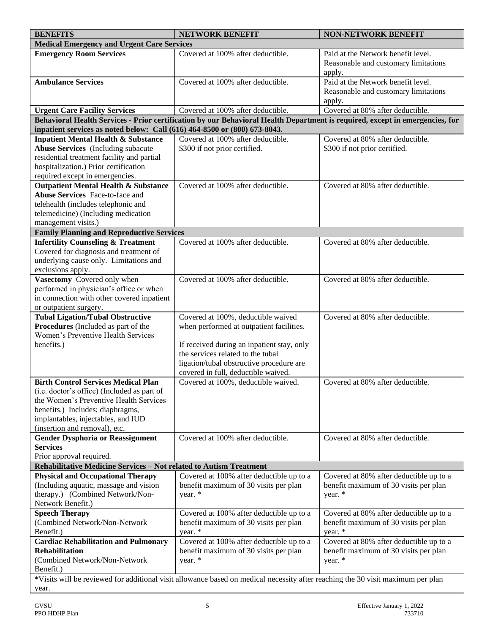| <b>BENEFITS</b>                                                                                                                 | <b>NETWORK BENEFIT</b>                                                                                                       | <b>NON-NETWORK BENEFIT</b>              |  |
|---------------------------------------------------------------------------------------------------------------------------------|------------------------------------------------------------------------------------------------------------------------------|-----------------------------------------|--|
| <b>Medical Emergency and Urgent Care Services</b>                                                                               |                                                                                                                              |                                         |  |
| <b>Emergency Room Services</b>                                                                                                  | Covered at 100% after deductible.                                                                                            | Paid at the Network benefit level.      |  |
|                                                                                                                                 |                                                                                                                              | Reasonable and customary limitations    |  |
|                                                                                                                                 |                                                                                                                              | apply.                                  |  |
| <b>Ambulance Services</b>                                                                                                       | Covered at 100% after deductible.                                                                                            | Paid at the Network benefit level.      |  |
|                                                                                                                                 |                                                                                                                              | Reasonable and customary limitations    |  |
|                                                                                                                                 |                                                                                                                              | apply.                                  |  |
| <b>Urgent Care Facility Services</b>                                                                                            | Covered at 100% after deductible.                                                                                            | Covered at 80% after deductible.        |  |
|                                                                                                                                 | Behavioral Health Services - Prior certification by our Behavioral Health Department is required, except in emergencies, for |                                         |  |
| inpatient services as noted below: Call (616) 464-8500 or (800) 673-8043.                                                       |                                                                                                                              |                                         |  |
| <b>Inpatient Mental Health &amp; Substance</b>                                                                                  | Covered at 100% after deductible.                                                                                            | Covered at 80% after deductible.        |  |
| <b>Abuse Services</b> (Including subacute<br>residential treatment facility and partial                                         | \$300 if not prior certified.                                                                                                | \$300 if not prior certified.           |  |
| hospitalization.) Prior certification                                                                                           |                                                                                                                              |                                         |  |
| required except in emergencies.                                                                                                 |                                                                                                                              |                                         |  |
| <b>Outpatient Mental Health &amp; Substance</b>                                                                                 | Covered at 100% after deductible.                                                                                            | Covered at 80% after deductible.        |  |
| Abuse Services Face-to-face and                                                                                                 |                                                                                                                              |                                         |  |
| telehealth (includes telephonic and                                                                                             |                                                                                                                              |                                         |  |
| telemedicine) (Including medication                                                                                             |                                                                                                                              |                                         |  |
| management visits.)                                                                                                             |                                                                                                                              |                                         |  |
| <b>Family Planning and Reproductive Services</b>                                                                                |                                                                                                                              |                                         |  |
| <b>Infertility Counseling &amp; Treatment</b>                                                                                   | Covered at 100% after deductible.                                                                                            | Covered at 80% after deductible.        |  |
| Covered for diagnosis and treatment of                                                                                          |                                                                                                                              |                                         |  |
| underlying cause only. Limitations and                                                                                          |                                                                                                                              |                                         |  |
| exclusions apply.                                                                                                               |                                                                                                                              |                                         |  |
| Vasectomy Covered only when                                                                                                     | Covered at 100% after deductible.                                                                                            | Covered at 80% after deductible.        |  |
| performed in physician's office or when                                                                                         |                                                                                                                              |                                         |  |
| in connection with other covered inpatient                                                                                      |                                                                                                                              |                                         |  |
| or outpatient surgery.                                                                                                          |                                                                                                                              |                                         |  |
| <b>Tubal Ligation/Tubal Obstructive</b>                                                                                         | Covered at 100%, deductible waived                                                                                           | Covered at 80% after deductible.        |  |
| Procedures (Included as part of the                                                                                             | when performed at outpatient facilities.                                                                                     |                                         |  |
| Women's Preventive Health Services                                                                                              |                                                                                                                              |                                         |  |
| benefits.)                                                                                                                      | If received during an inpatient stay, only<br>the services related to the tubal                                              |                                         |  |
|                                                                                                                                 | ligation/tubal obstructive procedure are                                                                                     |                                         |  |
|                                                                                                                                 | covered in full, deductible waived.                                                                                          |                                         |  |
| <b>Birth Control Services Medical Plan</b>                                                                                      | Covered at 100%, deductible waived.                                                                                          | Covered at 80% after deductible.        |  |
| (i.e. doctor's office) (Included as part of                                                                                     |                                                                                                                              |                                         |  |
| the Women's Preventive Health Services                                                                                          |                                                                                                                              |                                         |  |
| benefits.) Includes; diaphragms,                                                                                                |                                                                                                                              |                                         |  |
| implantables, injectables, and IUD                                                                                              |                                                                                                                              |                                         |  |
| (insertion and removal), etc.                                                                                                   |                                                                                                                              |                                         |  |
| <b>Gender Dysphoria or Reassignment</b>                                                                                         | Covered at 100% after deductible.                                                                                            | Covered at 80% after deductible.        |  |
| <b>Services</b>                                                                                                                 |                                                                                                                              |                                         |  |
| Prior approval required.                                                                                                        |                                                                                                                              |                                         |  |
| Rehabilitative Medicine Services - Not related to Autism Treatment                                                              |                                                                                                                              |                                         |  |
| <b>Physical and Occupational Therapy</b>                                                                                        | Covered at 100% after deductible up to a                                                                                     | Covered at 80% after deductible up to a |  |
| (Including aquatic, massage and vision                                                                                          | benefit maximum of 30 visits per plan                                                                                        | benefit maximum of 30 visits per plan   |  |
| therapy.) (Combined Network/Non-<br>Network Benefit.)                                                                           | year. *                                                                                                                      | year. *                                 |  |
| <b>Speech Therapy</b>                                                                                                           | Covered at 100% after deductible up to a                                                                                     | Covered at 80% after deductible up to a |  |
| (Combined Network/Non-Network                                                                                                   | benefit maximum of 30 visits per plan                                                                                        | benefit maximum of 30 visits per plan   |  |
| Benefit.)                                                                                                                       | year. *                                                                                                                      | year. *                                 |  |
| <b>Cardiac Rehabilitation and Pulmonary</b>                                                                                     | Covered at 100% after deductible up to a                                                                                     | Covered at 80% after deductible up to a |  |
| <b>Rehabilitation</b>                                                                                                           | benefit maximum of 30 visits per plan                                                                                        | benefit maximum of 30 visits per plan   |  |
| (Combined Network/Non-Network                                                                                                   | year. *                                                                                                                      | year. *                                 |  |
| Benefit.)                                                                                                                       |                                                                                                                              |                                         |  |
| *Visits will be reviewed for additional visit allowance based on medical necessity after reaching the 30 visit maximum per plan |                                                                                                                              |                                         |  |
| year.                                                                                                                           |                                                                                                                              |                                         |  |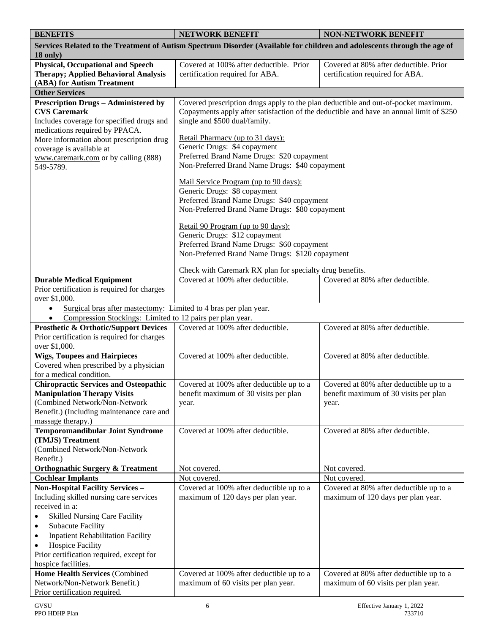| <b>BENEFITS</b>                                                                    | <b>NETWORK BENEFIT</b>                                                                                                                                                        | <b>NON-NETWORK BENEFIT</b>                                                       |
|------------------------------------------------------------------------------------|-------------------------------------------------------------------------------------------------------------------------------------------------------------------------------|----------------------------------------------------------------------------------|
|                                                                                    | Services Related to the Treatment of Autism Spectrum Disorder (Available for children and adolescents through the age of                                                      |                                                                                  |
| $18$ only)                                                                         |                                                                                                                                                                               |                                                                                  |
| <b>Physical, Occupational and Speech</b>                                           | Covered at 100% after deductible. Prior                                                                                                                                       | Covered at 80% after deductible. Prior                                           |
| <b>Therapy; Applied Behavioral Analysis</b>                                        | certification required for ABA.                                                                                                                                               | certification required for ABA.                                                  |
| (ABA) for Autism Treatment                                                         |                                                                                                                                                                               |                                                                                  |
| <b>Other Services</b>                                                              |                                                                                                                                                                               |                                                                                  |
| <b>Prescription Drugs - Administered by</b><br><b>CVS Caremark</b>                 | Covered prescription drugs apply to the plan deductible and out-of-pocket maximum.<br>Copayments apply after satisfaction of the deductible and have an annual limit of \$250 |                                                                                  |
| Includes coverage for specified drugs and                                          | single and \$500 dual/family.                                                                                                                                                 |                                                                                  |
| medications required by PPACA.                                                     |                                                                                                                                                                               |                                                                                  |
| More information about prescription drug                                           | Retail Pharmacy (up to 31 days):                                                                                                                                              |                                                                                  |
| coverage is available at                                                           | Generic Drugs: \$4 copayment                                                                                                                                                  |                                                                                  |
| www.caremark.com or by calling (888)                                               | Preferred Brand Name Drugs: \$20 copayment                                                                                                                                    |                                                                                  |
| 549-5789.                                                                          | Non-Preferred Brand Name Drugs: \$40 copayment                                                                                                                                |                                                                                  |
|                                                                                    | Mail Service Program (up to 90 days):                                                                                                                                         |                                                                                  |
|                                                                                    | Generic Drugs: \$8 copayment                                                                                                                                                  |                                                                                  |
|                                                                                    | Preferred Brand Name Drugs: \$40 copayment                                                                                                                                    |                                                                                  |
|                                                                                    | Non-Preferred Brand Name Drugs: \$80 copayment                                                                                                                                |                                                                                  |
|                                                                                    | Retail 90 Program (up to 90 days):                                                                                                                                            |                                                                                  |
|                                                                                    | Generic Drugs: \$12 copayment                                                                                                                                                 |                                                                                  |
|                                                                                    | Preferred Brand Name Drugs: \$60 copayment                                                                                                                                    |                                                                                  |
|                                                                                    | Non-Preferred Brand Name Drugs: \$120 copayment                                                                                                                               |                                                                                  |
|                                                                                    |                                                                                                                                                                               |                                                                                  |
|                                                                                    | Check with Caremark RX plan for specialty drug benefits.<br>Covered at 100% after deductible.                                                                                 | Covered at 80% after deductible.                                                 |
| <b>Durable Medical Equipment</b><br>Prior certification is required for charges    |                                                                                                                                                                               |                                                                                  |
| over \$1,000.                                                                      |                                                                                                                                                                               |                                                                                  |
| Surgical bras after mastectomy: Limited to 4 bras per plan year.<br>$\bullet$      |                                                                                                                                                                               |                                                                                  |
| Compression Stockings: Limited to 12 pairs per plan year.<br>$\bullet$             |                                                                                                                                                                               |                                                                                  |
| <b>Prosthetic &amp; Orthotic/Support Devices</b>                                   | Covered at 100% after deductible.                                                                                                                                             | Covered at 80% after deductible.                                                 |
| Prior certification is required for charges                                        |                                                                                                                                                                               |                                                                                  |
| over \$1,000.                                                                      |                                                                                                                                                                               |                                                                                  |
| <b>Wigs, Toupees and Hairpieces</b>                                                | Covered at 100% after deductible.                                                                                                                                             | Covered at 80% after deductible.                                                 |
| Covered when prescribed by a physician                                             |                                                                                                                                                                               |                                                                                  |
| for a medical condition.                                                           |                                                                                                                                                                               |                                                                                  |
| <b>Chiropractic Services and Osteopathic</b><br><b>Manipulation Therapy Visits</b> | Covered at 100% after deductible up to a<br>benefit maximum of 30 visits per plan                                                                                             | Covered at 80% after deductible up to a<br>benefit maximum of 30 visits per plan |
| (Combined Network/Non-Network                                                      | year.                                                                                                                                                                         | year.                                                                            |
| Benefit.) (Including maintenance care and                                          |                                                                                                                                                                               |                                                                                  |
| massage therapy.)                                                                  |                                                                                                                                                                               |                                                                                  |
| <b>Temporomandibular Joint Syndrome</b>                                            | Covered at 100% after deductible.                                                                                                                                             | Covered at 80% after deductible.                                                 |
| (TMJS) Treatment                                                                   |                                                                                                                                                                               |                                                                                  |
| (Combined Network/Non-Network                                                      |                                                                                                                                                                               |                                                                                  |
| Benefit.)                                                                          |                                                                                                                                                                               |                                                                                  |
| <b>Orthognathic Surgery &amp; Treatment</b><br><b>Cochlear Implants</b>            | Not covered.<br>Not covered.                                                                                                                                                  | Not covered.<br>Not covered.                                                     |
| <b>Non-Hospital Facility Services -</b>                                            | Covered at 100% after deductible up to a                                                                                                                                      | Covered at 80% after deductible up to a                                          |
| Including skilled nursing care services                                            | maximum of 120 days per plan year.                                                                                                                                            | maximum of 120 days per plan year.                                               |
| received in a:                                                                     |                                                                                                                                                                               |                                                                                  |
| <b>Skilled Nursing Care Facility</b>                                               |                                                                                                                                                                               |                                                                                  |
| <b>Subacute Facility</b><br>$\bullet$                                              |                                                                                                                                                                               |                                                                                  |
| <b>Inpatient Rehabilitation Facility</b><br>$\bullet$                              |                                                                                                                                                                               |                                                                                  |
| <b>Hospice Facility</b><br>$\bullet$                                               |                                                                                                                                                                               |                                                                                  |
| Prior certification required, except for                                           |                                                                                                                                                                               |                                                                                  |
| hospice facilities.                                                                |                                                                                                                                                                               |                                                                                  |
| <b>Home Health Services (Combined</b><br>Network/Non-Network Benefit.)             | Covered at 100% after deductible up to a                                                                                                                                      | Covered at 80% after deductible up to a                                          |
| Prior certification required.                                                      | maximum of 60 visits per plan year.                                                                                                                                           | maximum of 60 visits per plan year.                                              |
|                                                                                    |                                                                                                                                                                               |                                                                                  |